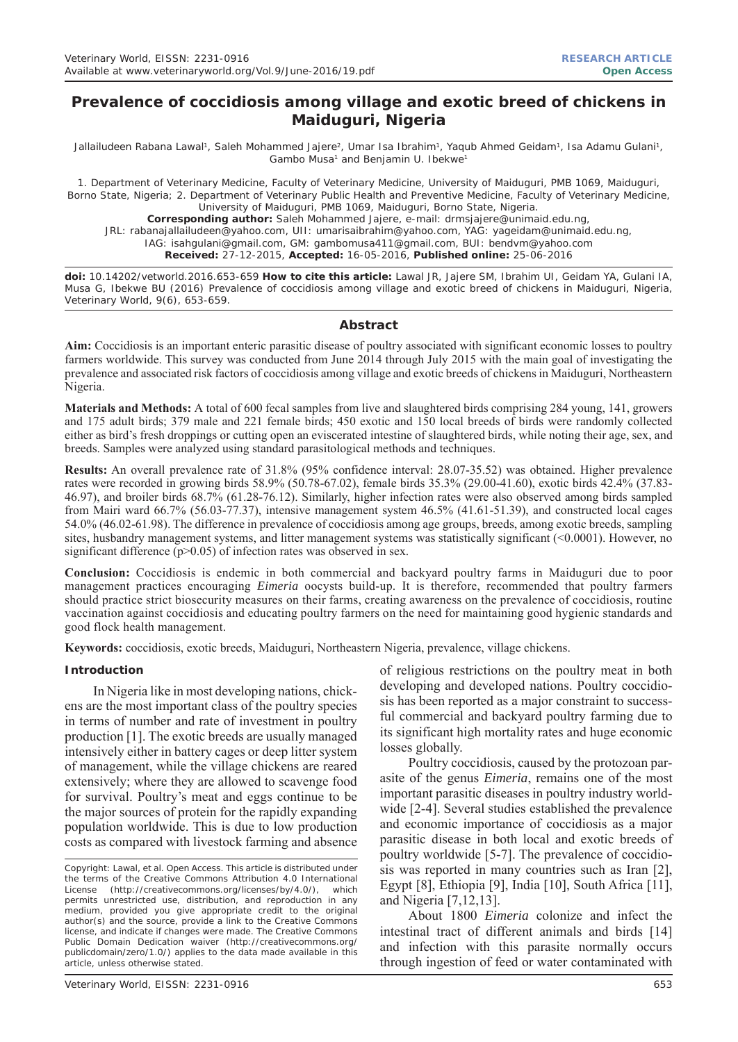# **Prevalence of coccidiosis among village and exotic breed of chickens in Maiduguri, Nigeria**

Jallailudeen Rabana Lawal<sup>1</sup>, Saleh Mohammed Jajere<sup>2</sup>, Umar Isa Ibrahim<sup>1</sup>, Yaqub Ahmed Geidam<sup>1</sup>. Isa Adamu Gulani<sup>1</sup>. Gambo Musa<sup>1</sup> and Benjamin U. Ibekwe<sup>1</sup>

1. Department of Veterinary Medicine, Faculty of Veterinary Medicine, University of Maiduguri, PMB 1069, Maiduguri, Borno State, Nigeria; 2. Department of Veterinary Public Health and Preventive Medicine, Faculty of Veterinary Medicine, University of Maiduguri, PMB 1069, Maiduguri, Borno State, Nigeria.

**Corresponding author:** Saleh Mohammed Jajere, e-mail: drmsjajere@unimaid.edu.ng, JRL: rabanajallailudeen@yahoo.com, UII: umarisaibrahim@yahoo.com, YAG: yageidam@unimaid.edu.ng, IAG: isahgulani@gmail.com, GM: gambomusa411@gmail.com, BUI: bendvm@yahoo.com **Received:** 27-12-2015, **Accepted:** 16-05-2016, **Published online:** 25-06-2016

**doi:** 10.14202/vetworld.2016.653-659 **How to cite this article:** Lawal JR, Jajere SM, Ibrahim UI, Geidam YA, Gulani IA, Musa G, Ibekwe BU (2016) Prevalence of coccidiosis among village and exotic breed of chickens in Maiduguri, Nigeria, *Veterinary World, 9*(6), 653-659.

### **Abstract**

**Aim:** Coccidiosis is an important enteric parasitic disease of poultry associated with significant economic losses to poultry farmers worldwide. This survey was conducted from June 2014 through July 2015 with the main goal of investigating the prevalence and associated risk factors of coccidiosis among village and exotic breeds of chickens in Maiduguri, Northeastern Nigeria.

**Materials and Methods:** A total of 600 fecal samples from live and slaughtered birds comprising 284 young, 141, growers and 175 adult birds; 379 male and 221 female birds; 450 exotic and 150 local breeds of birds were randomly collected either as bird's fresh droppings or cutting open an eviscerated intestine of slaughtered birds, while noting their age, sex, and breeds. Samples were analyzed using standard parasitological methods and techniques.

**Results:** An overall prevalence rate of 31.8% (95% confidence interval: 28.07-35.52) was obtained. Higher prevalence rates were recorded in growing birds 58.9% (50.78-67.02), female birds 35.3% (29.00-41.60), exotic birds 42.4% (37.83- 46.97), and broiler birds 68.7% (61.28-76.12). Similarly, higher infection rates were also observed among birds sampled from Mairi ward 66.7% (56.03-77.37), intensive management system 46.5% (41.61-51.39), and constructed local cages 54.0% (46.02-61.98). The difference in prevalence of coccidiosis among age groups, breeds, among exotic breeds, sampling sites, husbandry management systems, and litter management systems was statistically significant (<0.0001). However, no significant difference  $(p>0.05)$  of infection rates was observed in sex.

**Conclusion:** Coccidiosis is endemic in both commercial and backyard poultry farms in Maiduguri due to poor management practices encouraging *Eimeria* oocysts build-up. It is therefore, recommended that poultry farmers should practice strict biosecurity measures on their farms, creating awareness on the prevalence of coccidiosis, routine vaccination against coccidiosis and educating poultry farmers on the need for maintaining good hygienic standards and good flock health management.

**Keywords:** coccidiosis, exotic breeds, Maiduguri, Northeastern Nigeria, prevalence, village chickens.

# **Introduction**

In Nigeria like in most developing nations, chickens are the most important class of the poultry species in terms of number and rate of investment in poultry production [1]. The exotic breeds are usually managed intensively either in battery cages or deep litter system of management, while the village chickens are reared extensively; where they are allowed to scavenge food for survival. Poultry's meat and eggs continue to be the major sources of protein for the rapidly expanding population worldwide. This is due to low production costs as compared with livestock farming and absence of religious restrictions on the poultry meat in both developing and developed nations. Poultry coccidiosis has been reported as a major constraint to successful commercial and backyard poultry farming due to its significant high mortality rates and huge economic losses globally.

Poultry coccidiosis, caused by the protozoan parasite of the genus *Eimeria*, remains one of the most important parasitic diseases in poultry industry worldwide [2-4]. Several studies established the prevalence and economic importance of coccidiosis as a major parasitic disease in both local and exotic breeds of poultry worldwide [5-7]. The prevalence of coccidiosis was reported in many countries such as Iran [2], Egypt [8], Ethiopia [9], India [10], South Africa [11], and Nigeria [7,12,13].

About 1800 *Eimeria* colonize and infect the intestinal tract of different animals and birds [14] and infection with this parasite normally occurs through ingestion of feed or water contaminated with

Copyright: Lawal, *et al*. Open Access. This article is distributed under the terms of the Creative Commons Attribution 4.0 International<br>License (http://creativecommons.org/licenses/by/4.0/), which License (http://creativecommons.org/licenses/by/4.0/), permits unrestricted use, distribution, and reproduction in any medium, provided you give appropriate credit to the original author(s) and the source, provide a link to the Creative Commons license, and indicate if changes were made. The Creative Commons Public Domain Dedication waiver (http://creativecommons.org/ publicdomain/zero/1.0/) applies to the data made available in this article, unless otherwise stated.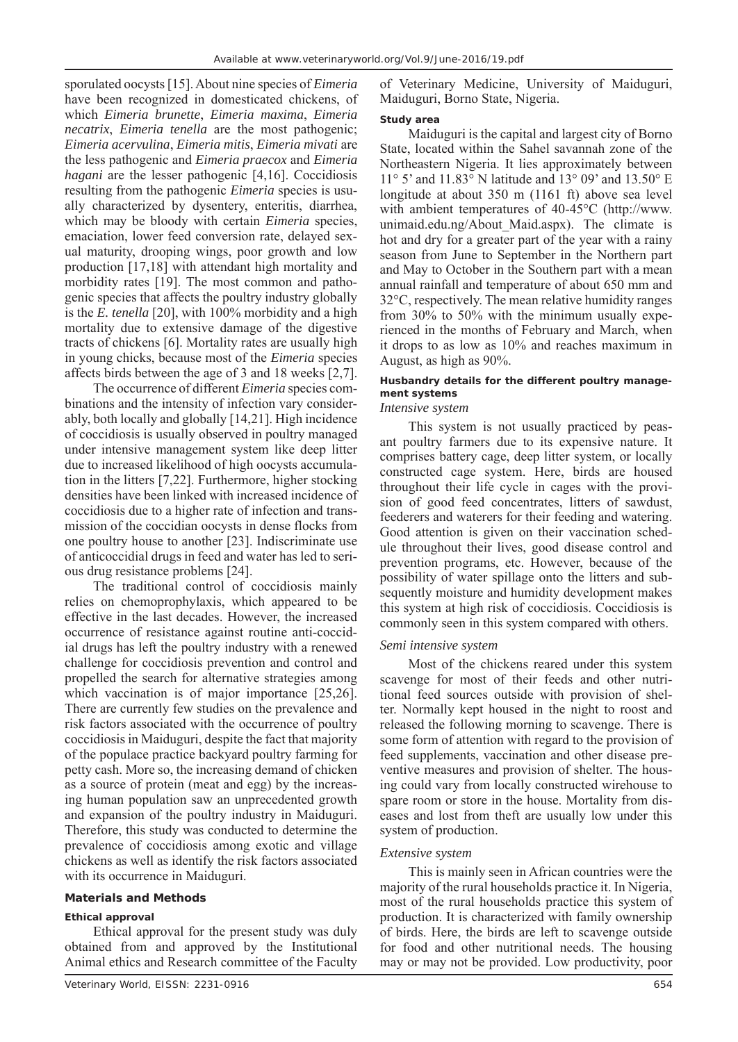sporulated oocysts [15]. About nine species of *Eimeria*  have been recognized in domesticated chickens, of which *Eimeria brunette*, *Eimeria maxima*, *Eimeria necatrix*, *Eimeria tenella* are the most pathogenic; *Eimeria acervulina*, *Eimeria mitis*, *Eimeria mivati* are the less pathogenic and *Eimeria praecox* and *Eimeria hagani* are the lesser pathogenic [4,16]. Coccidiosis resulting from the pathogenic *Eimeria* species is usually characterized by dysentery, enteritis, diarrhea, which may be bloody with certain *Eimeria* species, emaciation, lower feed conversion rate, delayed sexual maturity, drooping wings, poor growth and low production [17,18] with attendant high mortality and morbidity rates [19]. The most common and pathogenic species that affects the poultry industry globally is the *E. tenella* [20], with 100% morbidity and a high mortality due to extensive damage of the digestive tracts of chickens [6]. Mortality rates are usually high in young chicks, because most of the *Eimeria* species affects birds between the age of 3 and 18 weeks [2,7].

The occurrence of different *Eimeria* species combinations and the intensity of infection vary considerably, both locally and globally [14,21]. High incidence of coccidiosis is usually observed in poultry managed under intensive management system like deep litter due to increased likelihood of high oocysts accumulation in the litters [7,22]. Furthermore, higher stocking densities have been linked with increased incidence of coccidiosis due to a higher rate of infection and transmission of the coccidian oocysts in dense flocks from one poultry house to another [23]. Indiscriminate use of anticoccidial drugs in feed and water has led to serious drug resistance problems [24].

The traditional control of coccidiosis mainly relies on chemoprophylaxis, which appeared to be effective in the last decades. However, the increased occurrence of resistance against routine anti-coccidial drugs has left the poultry industry with a renewed challenge for coccidiosis prevention and control and propelled the search for alternative strategies among which vaccination is of major importance [25,26]. There are currently few studies on the prevalence and risk factors associated with the occurrence of poultry coccidiosis in Maiduguri, despite the fact that majority of the populace practice backyard poultry farming for petty cash. More so, the increasing demand of chicken as a source of protein (meat and egg) by the increasing human population saw an unprecedented growth and expansion of the poultry industry in Maiduguri. Therefore, this study was conducted to determine the prevalence of coccidiosis among exotic and village chickens as well as identify the risk factors associated with its occurrence in Maiduguri.

### **Materials and Methods**

### **Ethical approval**

Ethical approval for the present study was duly obtained from and approved by the Institutional Animal ethics and Research committee of the Faculty

of Veterinary Medicine, University of Maiduguri, Maiduguri, Borno State, Nigeria.

#### **Study area**

Maiduguri is the capital and largest city of Borno State, located within the Sahel savannah zone of the Northeastern Nigeria. It lies approximately between 11° 5' and 11.83° N latitude and 13° 09' and 13.50° E longitude at about 350 m (1161 ft) above sea level with ambient temperatures of 40-45°C (http://www. unimaid.edu.ng/About\_Maid.aspx). The climate is hot and dry for a greater part of the year with a rainy season from June to September in the Northern part and May to October in the Southern part with a mean annual rainfall and temperature of about 650 mm and 32°C, respectively. The mean relative humidity ranges from 30% to 50% with the minimum usually experienced in the months of February and March, when it drops to as low as 10% and reaches maximum in August, as high as 90%.

# **Husbandry details for the different poultry management systems**

### *Intensive system*

This system is not usually practiced by peasant poultry farmers due to its expensive nature. It comprises battery cage, deep litter system, or locally constructed cage system. Here, birds are housed throughout their life cycle in cages with the provision of good feed concentrates, litters of sawdust, feederers and waterers for their feeding and watering. Good attention is given on their vaccination schedule throughout their lives, good disease control and prevention programs, etc. However, because of the possibility of water spillage onto the litters and subsequently moisture and humidity development makes this system at high risk of coccidiosis. Coccidiosis is commonly seen in this system compared with others.

### *Semi intensive system*

Most of the chickens reared under this system scavenge for most of their feeds and other nutritional feed sources outside with provision of shelter. Normally kept housed in the night to roost and released the following morning to scavenge. There is some form of attention with regard to the provision of feed supplements, vaccination and other disease preventive measures and provision of shelter. The housing could vary from locally constructed wirehouse to spare room or store in the house. Mortality from diseases and lost from theft are usually low under this system of production.

### *Extensive system*

This is mainly seen in African countries were the majority of the rural households practice it. In Nigeria, most of the rural households practice this system of production. It is characterized with family ownership of birds. Here, the birds are left to scavenge outside for food and other nutritional needs. The housing may or may not be provided. Low productivity, poor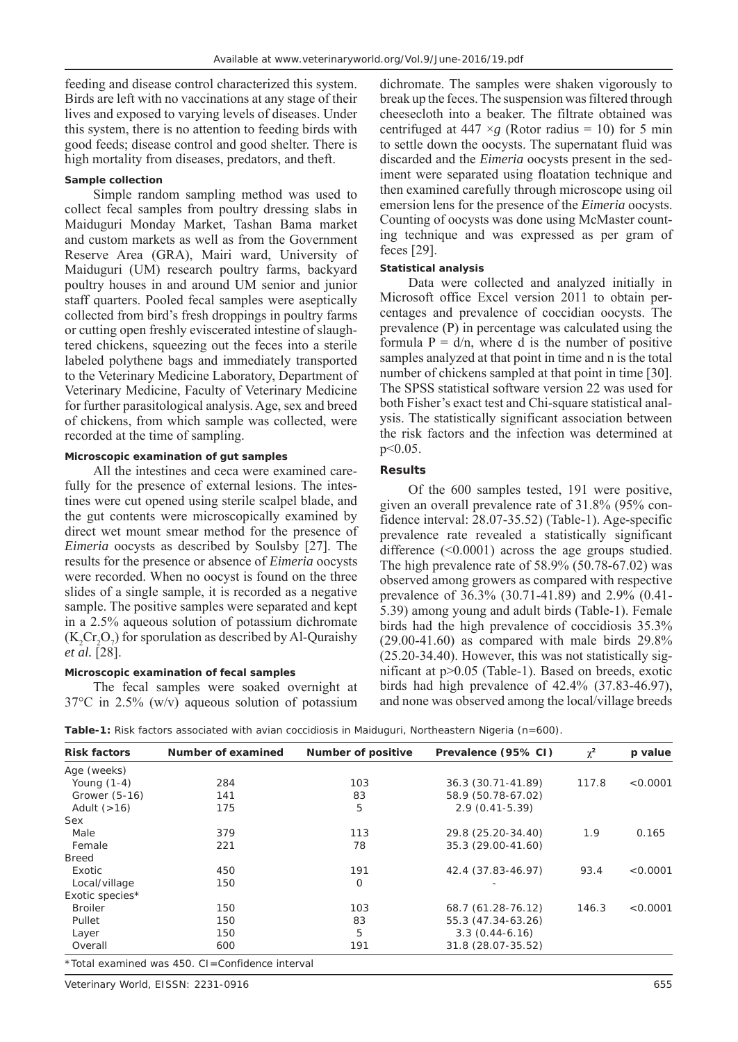feeding and disease control characterized this system. Birds are left with no vaccinations at any stage of their lives and exposed to varying levels of diseases. Under this system, there is no attention to feeding birds with good feeds; disease control and good shelter. There is high mortality from diseases, predators, and theft.

#### **Sample collection**

Simple random sampling method was used to collect fecal samples from poultry dressing slabs in Maiduguri Monday Market, Tashan Bama market and custom markets as well as from the Government Reserve Area (GRA), Mairi ward, University of Maiduguri (UM) research poultry farms, backyard poultry houses in and around UM senior and junior staff quarters. Pooled fecal samples were aseptically collected from bird's fresh droppings in poultry farms or cutting open freshly eviscerated intestine of slaughtered chickens, squeezing out the feces into a sterile labeled polythene bags and immediately transported to the Veterinary Medicine Laboratory, Department of Veterinary Medicine, Faculty of Veterinary Medicine for further parasitological analysis. Age, sex and breed of chickens, from which sample was collected, were recorded at the time of sampling.

### **Microscopic examination of gut samples**

All the intestines and ceca were examined carefully for the presence of external lesions. The intestines were cut opened using sterile scalpel blade, and the gut contents were microscopically examined by direct wet mount smear method for the presence of *Eimeria* oocysts as described by Soulsby [27]. The results for the presence or absence of *Eimeria* oocysts were recorded. When no oocyst is found on the three slides of a single sample, it is recorded as a negative sample. The positive samples were separated and kept in a 2.5% aqueous solution of potassium dichromate  $(K_2Cr_2O_7)$  for sporulation as described by Al-Quraishy *et al.* [28].

### **Microscopic examination of fecal samples**

The fecal samples were soaked overnight at 37°C in 2.5% (w/v) aqueous solution of potassium dichromate. The samples were shaken vigorously to break up the feces. The suspension was filtered through cheesecloth into a beaker. The filtrate obtained was centrifuged at  $447 \times g$  (Rotor radius = 10) for 5 min to settle down the oocysts. The supernatant fluid was discarded and the *Eimeria* oocysts present in the sediment were separated using floatation technique and then examined carefully through microscope using oil emersion lens for the presence of the *Eimeria* oocysts. Counting of oocysts was done using McMaster counting technique and was expressed as per gram of feces [29].

#### **Statistical analysis**

Data were collected and analyzed initially in Microsoft office Excel version 2011 to obtain percentages and prevalence of coccidian oocysts. The prevalence (P) in percentage was calculated using the formula  $P = d/n$ , where d is the number of positive samples analyzed at that point in time and n is the total number of chickens sampled at that point in time [30]. The SPSS statistical software version 22 was used for both Fisher's exact test and Chi-square statistical analysis. The statistically significant association between the risk factors and the infection was determined at p<0.05.

### **Results**

Of the 600 samples tested, 191 were positive, given an overall prevalence rate of 31.8% (95% confidence interval: 28.07-35.52) (Table-1). Age-specific prevalence rate revealed a statistically significant difference (<0.0001) across the age groups studied. The high prevalence rate of 58.9% (50.78-67.02) was observed among growers as compared with respective prevalence of 36.3% (30.71-41.89) and 2.9% (0.41- 5.39) among young and adult birds (Table-1). Female birds had the high prevalence of coccidiosis 35.3%  $(29.00-41.60)$  as compared with male birds  $29.8\%$ (25.20-34.40). However, this was not statistically significant at p>0.05 (Table-1). Based on breeds, exotic birds had high prevalence of 42.4% (37.83-46.97), and none was observed among the local/village breeds

**Table-1:** Risk factors associated with avian coccidiosis in Maiduguri, Northeastern Nigeria (n=600).

| <b>Risk factors</b> | Number of examined | Number of positive | Prevalence (95% CI) | $\chi^2$ | p value  |
|---------------------|--------------------|--------------------|---------------------|----------|----------|
| Age (weeks)         |                    |                    |                     |          |          |
| Young $(1-4)$       | 284                | 103                | 36.3 (30.71-41.89)  | 117.8    | < 0.0001 |
| Grower (5-16)       | 141                | 83                 | 58.9 (50.78-67.02)  |          |          |
| Adult $(>16)$       | 175                | 5                  | $2.9(0.41-5.39)$    |          |          |
| Sex                 |                    |                    |                     |          |          |
| Male                | 379                | 113                | 29.8 (25.20-34.40)  | 1.9      | 0.165    |
| Female              | 221                | 78                 | 35.3 (29.00-41.60)  |          |          |
| <b>Breed</b>        |                    |                    |                     |          |          |
| Exotic              | 450                | 191                | 42.4 (37.83-46.97)  | 93.4     | < 0.0001 |
| Local/village       | 150                | 0                  |                     |          |          |
| Exotic species*     |                    |                    |                     |          |          |
| <b>Broiler</b>      | 150                | 103                | 68.7 (61.28-76.12)  | 146.3    | < 0.0001 |
| Pullet              | 150                | 83                 | 55.3 (47.34-63.26)  |          |          |
| Layer               | 150                | 5                  | $3.3(0.44-6.16)$    |          |          |
| Overall             | 600                | 191                | 31.8 (28.07-35.52)  |          |          |
|                     |                    |                    |                     |          |          |

\*Total examined was 450. CI=Confidence interval

Veterinary World, EISSN: 2231-0916 655 (1999) 655 (1999) 655 (1999) 655 (1999) 655 (1999) 655 (1999) 655 (1999)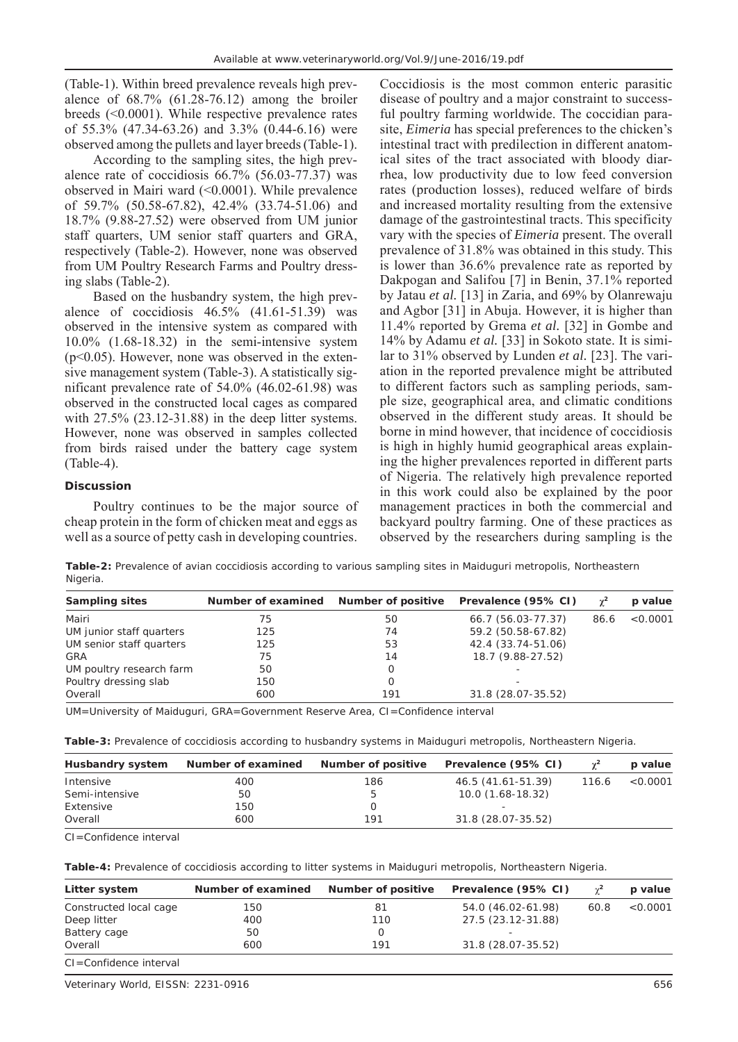(Table-1). Within breed prevalence reveals high prevalence of 68.7% (61.28-76.12) among the broiler breeds (<0.0001). While respective prevalence rates of 55.3% (47.34-63.26) and 3.3% (0.44-6.16) were observed among the pullets and layer breeds (Table-1).

According to the sampling sites, the high prevalence rate of coccidiosis 66.7% (56.03-77.37) was observed in Mairi ward (<0.0001). While prevalence of 59.7% (50.58-67.82), 42.4% (33.74-51.06) and 18.7% (9.88-27.52) were observed from UM junior staff quarters, UM senior staff quarters and GRA, respectively (Table-2). However, none was observed from UM Poultry Research Farms and Poultry dressing slabs (Table-2).

Based on the husbandry system, the high prevalence of coccidiosis  $46.5\%$   $(41.61-51.39)$  was observed in the intensive system as compared with 10.0% (1.68-18.32) in the semi-intensive system  $(p<0.05)$ . However, none was observed in the extensive management system (Table-3). A statistically significant prevalence rate of 54.0% (46.02-61.98) was observed in the constructed local cages as compared with 27.5% (23.12-31.88) in the deep litter systems. However, none was observed in samples collected from birds raised under the battery cage system (Table-4).

### **Discussion**

Poultry continues to be the major source of cheap protein in the form of chicken meat and eggs as well as a source of petty cash in developing countries.

Coccidiosis is the most common enteric parasitic disease of poultry and a major constraint to successful poultry farming worldwide. The coccidian parasite, *Eimeria* has special preferences to the chicken's intestinal tract with predilection in different anatomical sites of the tract associated with bloody diarrhea, low productivity due to low feed conversion rates (production losses), reduced welfare of birds and increased mortality resulting from the extensive damage of the gastrointestinal tracts. This specificity vary with the species of *Eimeria* present. The overall prevalence of 31.8% was obtained in this study. This is lower than 36.6% prevalence rate as reported by Dakpogan and Salifou [7] in Benin, 37.1% reported by Jatau *et al.* [13] in Zaria, and 69% by Olanrewaju and Agbor [31] in Abuja. However, it is higher than 11.4% reported by Grema *et al.* [32] in Gombe and 14% by Adamu *et al.* [33] in Sokoto state. It is similar to 31% observed by Lunden *et al.* [23]. The variation in the reported prevalence might be attributed to different factors such as sampling periods, sample size, geographical area, and climatic conditions observed in the different study areas. It should be borne in mind however, that incidence of coccidiosis is high in highly humid geographical areas explaining the higher prevalences reported in different parts of Nigeria. The relatively high prevalence reported in this work could also be explained by the poor management practices in both the commercial and backyard poultry farming. One of these practices as observed by the researchers during sampling is the

**Table-2:** Prevalence of avian coccidiosis according to various sampling sites in Maiduguri metropolis, Northeastern Nigeria.

| <b>Sampling sites</b>    | Number of examined | Number of positive | Prevalence (95% CI) | $\gamma^2$ | p value  |
|--------------------------|--------------------|--------------------|---------------------|------------|----------|
| Mairi                    | 75                 | 50                 | 66.7 (56.03-77.37)  | 86.6       | < 0.0001 |
| UM junior staff quarters | 125                | 74                 | 59.2 (50.58-67.82)  |            |          |
| UM senior staff quarters | 125                | 53                 | 42.4 (33.74-51.06)  |            |          |
| <b>GRA</b>               | 75                 | 14                 | 18.7 (9.88-27.52)   |            |          |
| UM poultry research farm | 50                 | Ο                  |                     |            |          |
| Poultry dressing slab    | 150                | Ο                  |                     |            |          |
| Overall                  | 600                | 191                | 31.8 (28.07-35.52)  |            |          |

UM=University of Maiduguri, GRA=Government Reserve Area, CI=Confidence interval

| Table-3: Prevalence of coccidiosis according to husbandry systems in Maiduguri metropolis, Northeastern Nigeria. |  |  |  |
|------------------------------------------------------------------------------------------------------------------|--|--|--|
|------------------------------------------------------------------------------------------------------------------|--|--|--|

| Number of examined | Number of positive | Prevalence (95% CI) | $\gamma^2$ | p value  |
|--------------------|--------------------|---------------------|------------|----------|
| 400                | 186                | 46.5 (41.61-51.39)  | 116.6      | < 0.0001 |
| 50                 | 5                  | 10.0 (1.68-18.32)   |            |          |
| 150                |                    |                     |            |          |
| 600                | 191                | 31.8 (28.07-35.52)  |            |          |
|                    |                    |                     |            |          |

CI=Confidence interval

**Table-4:** Prevalence of coccidiosis according to litter systems in Maiduguri metropolis, Northeastern Nigeria.

| Litter system          | Number of examined | Number of positive | Prevalence (95% CI) | $\gamma^2$ | p value  |
|------------------------|--------------------|--------------------|---------------------|------------|----------|
| Constructed local cage | 150                | 81                 | 54.0 (46.02-61.98)  | 60.8       | < 0.0001 |
| Deep litter            | 400                | 110                | 27.5 (23.12-31.88)  |            |          |
| Battery cage           | 50                 |                    |                     |            |          |
| Overall                | 600                | 191                | 31.8 (28.07-35.52)  |            |          |
| CI=Confidence interval |                    |                    |                     |            |          |

Veterinary World, EISSN: 2231-0916 656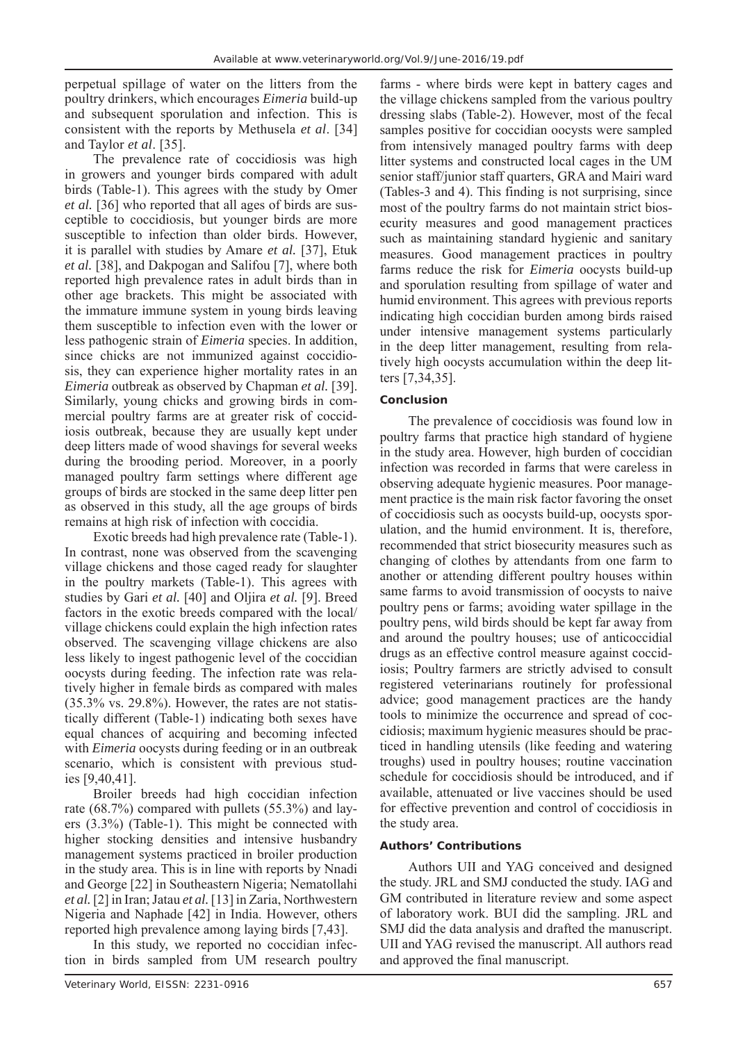perpetual spillage of water on the litters from the poultry drinkers, which encourages *Eimeria* build-up and subsequent sporulation and infection. This is consistent with the reports by Methusela *et al*. [34] and Taylor *et al*. [35].

The prevalence rate of coccidiosis was high in growers and younger birds compared with adult birds (Table-1). This agrees with the study by Omer *et al.* [36] who reported that all ages of birds are susceptible to coccidiosis, but younger birds are more susceptible to infection than older birds. However, it is parallel with studies by Amare *et al.* [37], Etuk *et al.* [38], and Dakpogan and Salifou [7], where both reported high prevalence rates in adult birds than in other age brackets. This might be associated with the immature immune system in young birds leaving them susceptible to infection even with the lower or less pathogenic strain of *Eimeria* species. In addition, since chicks are not immunized against coccidiosis, they can experience higher mortality rates in an *Eimeria* outbreak as observed by Chapman *et al.* [39]. Similarly, young chicks and growing birds in commercial poultry farms are at greater risk of coccidiosis outbreak, because they are usually kept under deep litters made of wood shavings for several weeks during the brooding period. Moreover, in a poorly managed poultry farm settings where different age groups of birds are stocked in the same deep litter pen as observed in this study, all the age groups of birds remains at high risk of infection with coccidia.

Exotic breeds had high prevalence rate (Table-1). In contrast, none was observed from the scavenging village chickens and those caged ready for slaughter in the poultry markets (Table-1). This agrees with studies by Gari *et al.* [40] and Oljira *et al.* [9]. Breed factors in the exotic breeds compared with the local/ village chickens could explain the high infection rates observed. The scavenging village chickens are also less likely to ingest pathogenic level of the coccidian oocysts during feeding. The infection rate was relatively higher in female birds as compared with males  $(35.3\% \text{ vs. } 29.8\%)$ . However, the rates are not statistically different (Table-1) indicating both sexes have equal chances of acquiring and becoming infected with *Eimeria* oocysts during feeding or in an outbreak scenario, which is consistent with previous studies [9,40,41].

Broiler breeds had high coccidian infection rate (68.7%) compared with pullets (55.3%) and layers (3.3%) (Table-1). This might be connected with higher stocking densities and intensive husbandry management systems practiced in broiler production in the study area. This is in line with reports by Nnadi and George [22] in Southeastern Nigeria; Nematollahi *et al.* [2] in Iran; Jatau *et al.* [13] in Zaria, Northwestern Nigeria and Naphade [42] in India. However, others reported high prevalence among laying birds [7,43].

In this study, we reported no coccidian infection in birds sampled from UM research poultry

farms - where birds were kept in battery cages and the village chickens sampled from the various poultry dressing slabs (Table-2). However, most of the fecal samples positive for coccidian oocysts were sampled from intensively managed poultry farms with deep litter systems and constructed local cages in the UM senior staff/junior staff quarters, GRA and Mairi ward (Tables-3 and 4). This finding is not surprising, since most of the poultry farms do not maintain strict biosecurity measures and good management practices such as maintaining standard hygienic and sanitary measures. Good management practices in poultry farms reduce the risk for *Eimeria* oocysts build-up and sporulation resulting from spillage of water and humid environment. This agrees with previous reports indicating high coccidian burden among birds raised under intensive management systems particularly in the deep litter management, resulting from relatively high oocysts accumulation within the deep litters [7,34,35].

# **Conclusion**

The prevalence of coccidiosis was found low in poultry farms that practice high standard of hygiene in the study area. However, high burden of coccidian infection was recorded in farms that were careless in observing adequate hygienic measures. Poor management practice is the main risk factor favoring the onset of coccidiosis such as oocysts build-up, oocysts sporulation, and the humid environment. It is, therefore, recommended that strict biosecurity measures such as changing of clothes by attendants from one farm to another or attending different poultry houses within same farms to avoid transmission of oocysts to naive poultry pens or farms; avoiding water spillage in the poultry pens, wild birds should be kept far away from and around the poultry houses; use of anticoccidial drugs as an effective control measure against coccidiosis; Poultry farmers are strictly advised to consult registered veterinarians routinely for professional advice; good management practices are the handy tools to minimize the occurrence and spread of coccidiosis; maximum hygienic measures should be practiced in handling utensils (like feeding and watering troughs) used in poultry houses; routine vaccination schedule for coccidiosis should be introduced, and if available, attenuated or live vaccines should be used for effective prevention and control of coccidiosis in the study area.

# **Authors' Contributions**

Authors UII and YAG conceived and designed the study. JRL and SMJ conducted the study. IAG and GM contributed in literature review and some aspect of laboratory work. BUI did the sampling. JRL and SMJ did the data analysis and drafted the manuscript. UII and YAG revised the manuscript. All authors read and approved the final manuscript.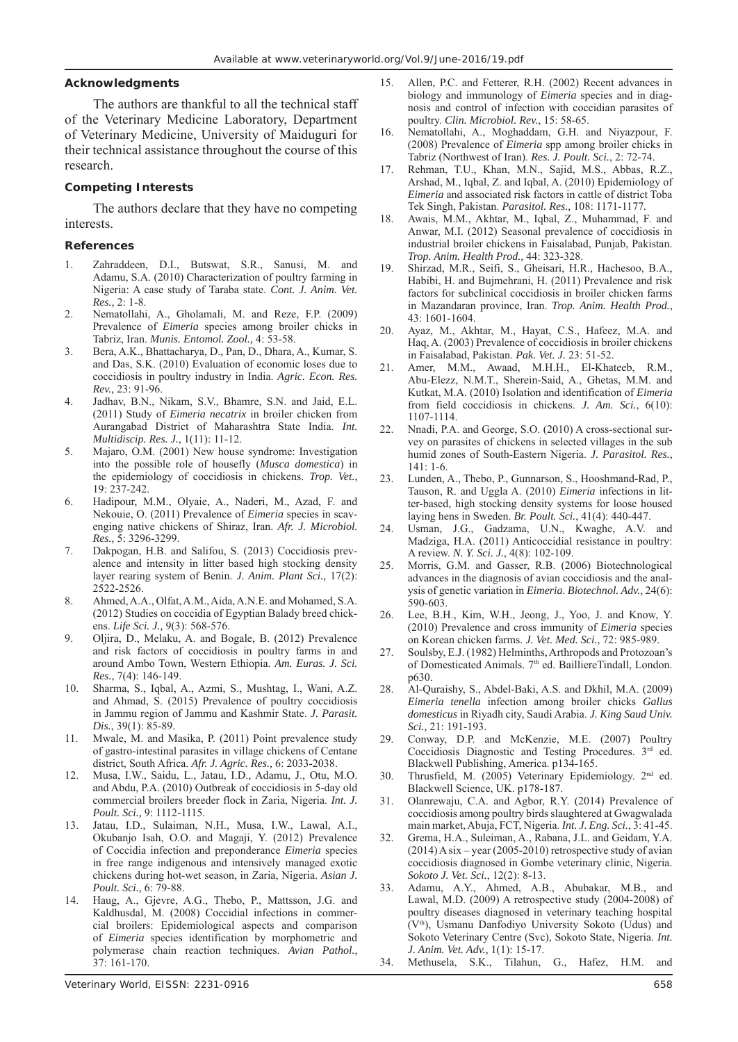#### **Acknowledgments**

The authors are thankful to all the technical staff of the Veterinary Medicine Laboratory, Department of Veterinary Medicine, University of Maiduguri for their technical assistance throughout the course of this research.

### **Competing Interests**

The authors declare that they have no competing interests.

#### **R eferences**

- 1. Zahraddeen, D.I., Butswat, S.R., Sanusi, M. and Adamu, S.A. (2010) Characterization of poultry farming in Nigeria: A case study of Taraba state. *Cont. J. Anim. Vet.*   $Res. 2: 1-8.$
- 2. Nematollahi, A., Gholamali, M. and Reze, F.P. (2009) Prevalence of *Eimeria* species among broiler chicks in Tabriz, Iran. *Munis. Entomol. Zool.,* 4: 53-58.
- 3. Bera, A.K., Bhattacharya, D., Pan, D., Dhara, A., Kumar, S. and Das, S.K. (2010) Evaluation of economic loses due to coccidiosis in poultry industry in India. *Agric. Econ. Res. Rev.,* 23: 91-96.
- 4. Jadhav, B.N., Nikam, S.V., Bhamre, S.N. and Jaid, E.L. (2011) Study of *Eimeria necatrix* in broiler chicken from Aurangabad District of Maharashtra State India. *Int. Multidiscip. Res. J.*, 1(11): 11-12.
- 5. Majaro, O.M. (2001) New house syndrome: Investigation into the possible role of housefly (*Musca domestica*) in the epidemiology of coccidiosis in chickens. *Trop. Vet.*, 19: 237-242.
- 6. Hadipour, M.M., Olyaie, A., Naderi, M., Azad, F. and Nekouie, O. (2011) Prevalence of *Eimeria* species in scavenging native chickens of Shiraz, Iran. *Afr. J. Microbiol. Res.,* 5: 3296-3299.
- 7. Dakpogan, H.B. and Salifou, S. (2013) Coccidiosis prevalence and intensity in litter based high stocking density layer rearing system of Benin. *J. Anim. Plant Sci.,* 17(2): 2522-2526.
- 8. Ahmed, A.A., Olfat, A.M., Aida, A.N.E. and Mohamed, S.A. (2012) Studies on coccidia of Egyptian Balady breed chickens. *Life Sci. J.,* 9(3): 568-576.
- 9. Oljira, D., Melaku, A. and Bogale, B. (2012) Prevalence and risk factors of coccidiosis in poultry farms in and around Ambo Town, Western Ethiopia. *Am. Euras. J. Sci. Res.*, 7(4): 146-149.
- 10. Sharma, S., Iqbal, A., Azmi, S., Mushtag, I., Wani, A.Z. and Ahmad, S. (2015) Prevalence of poultry coccidiosis in Jammu region of Jammu and Kashmir State. *J. Parasit. Dis.*, 39(1): 85-89.
- 11. Mwale, M. and Masika, P. (2011) Point prevalence study of gastro-intestinal parasites in village chickens of Centane district, South Africa. *Afr. J. Agric. Res.,* 6: 2033-2038.
- 12. Musa, I.W., Saidu, L., Jatau, I.D., Adamu, J., Otu, M.O. and Abdu, P.A. (2010) Outbreak of coccidiosis in 5-day old commercial broilers breeder flock in Zaria, Nigeria. *Int. J. Poult. Sci.,* 9: 1112-1115.
- 13. Jatau, I.D., Sulaiman, N.H., Musa, I.W., Lawal, A.I., Okubanjo Isah, O.O. and Magaji, Y. (2012) Prevalence of Coccidia infection and preponderance *Eimeria* species in free range indigenous and intensively managed exotic chickens during hot-wet season, in Zaria, Nigeria. *Asian J. Poult. Sci.,* 6: 79-88.
- 14. Haug, A., Gjevre, A.G., Thebo, P., Mattsson, J.G. and Kaldhusdal, M. (2008) Coccidial infections in commercial broilers: Epidemiological aspects and comparison of *Eimeria* species identification by morphometric and polymerase chain reaction techniques. *Avian Pathol.*, 37: 161-170.
- 15. Allen, P.C. and Fetterer, R.H. (2002) Recent advances in biology and immunology of *Eimeria* species and in diagnosis and control of infection with coccidian parasites of poultry. *Clin. Microbiol. Rev.*, 15: 58-65.
- 16. Nematollahi, A., Moghaddam, G.H. and Niyazpour, F. (2008) Prevalence of *Eimeria* spp among broiler chicks in Tabriz (Northwest of Iran). *Res. J. Poult. Sci.*, 2: 72-74.
- 17. Rehman, T.U., Khan, M.N., Sajid, M.S., Abbas, R.Z., Arshad, M., Iqbal, Z. and Iqbal, A. (2010) Epidemiology of *Eimeria* and associated risk factors in cattle of district Toba Tek Singh, Pakistan. *Parasitol. Res.,* 108: 1171-1177*.*
- 18. Awais, M.M., Akhtar, M., Iqbal, Z., Muhammad, F. and Anwar, M.I. (2012) Seasonal prevalence of coccidiosis in industrial broiler chickens in Faisalabad, Punjab, Pakistan. *Trop. Anim. Health Prod.,* 44: 323-328.
- 19. Shirzad, M.R., Seifi, S., Gheisari, H.R., Hachesoo, B.A., Habibi, H. and Bujmehrani, H. (2011) Prevalence and risk factors for subclinical coccidiosis in broiler chicken farms in Mazandaran province, Iran. *Trop. Anim. Health Prod.*, 43: 1601-1604.
- 20. Ayaz, M., Akhtar, M., Hayat, C.S., Hafeez, M.A. and Haq, A. (2003) Prevalence of coccidiosis in broiler chickens in Faisalabad, Pakistan. *Pak. Vet. J.* 23: 51-52.
- 21. Amer, M.M., Awaad, M.H.H., El-Khateeb, R.M., Abu-Elezz, N.M.T., Sherein-Said, A., Ghetas, M.M. and Kutkat, M.A. (2010) Isolation and identification of *Eimeria*  from field coccidiosis in chickens. *J. Am. Sci.*, 6(10): 1107-1114.
- 22. Nnadi, P.A. and George, S.O. (2010) A cross-sectional survey on parasites of chickens in selected villages in the sub humid zones of South-Eastern Nigeria. *J. Parasitol. Res.*, 141: 1-6.
- 23. Lunden, A., Thebo, P., Gunnarson, S., Hooshmand-Rad, P., Tauson, R. and Uggla A. (2010) *Eimeria* infections in litter-based, high stocking density systems for loose housed laying hens in Sweden. *Br. Poult. Sci.*, 41(4): 440-447.
- 24. Usman, J.G., Gadzama, U.N., Kwaghe, A.V. and Madziga, H.A. (2011) Anticoccidial resistance in poultry: A review. *N. Y. Sci. J.*, 4(8): 102-109.
- 25. Morris, G.M. and Gasser, R.B. (2006) Biotechnological advances in the diagnosis of avian coccidiosis and the analysis of genetic variation in *Eimeria*. *Biotechnol. Adv.,* 24(6): 590-603.
- 26. Lee, B.H., Kim, W.H., Jeong, J., Yoo, J. and Know, Y. (2010) Prevalence and cross immunity of *Eimeria* species on Korean chicken farms. *J. Vet. Med. Sci.*, 72: 985-989.
- 27. Soulsby, E.J. (1982) Helminths, Arthropods and Protozoan's of Domesticated Animals. 7<sup>th</sup> ed. BailliereTindall, London. p630.
- 28. Al-Quraishy, S., Abdel-Baki, A.S. and Dkhil, M.A. (2009) *Eimeria tenella* infection among broiler chicks *Gallus domesticus* in Riyadh city, Saudi Arabia. *J. King Saud Univ. Sci.,* 21: 191-193.
- 29. Conway, D.P. and McKenzie, M.E. (2007) Poultry Coccidiosis Diagnostic and Testing Procedures. 3rd ed. Blackwell Publishing, America. p134-165.
- 30. Thrusfield, M. (2005) Veterinary Epidemiology. 2nd ed. Blackwell Science, UK. p178-187.
- 31. Olanrewaju, C.A. and Agbor, R.Y. (2014) Prevalence of coccidiosis among poultry birds slaughtered at Gwagwalada main market, Abuja, FCT, Nigeria. *Int. J. Eng. Sci.*, 3: 41-45.
- 32. Grema, H.A., Suleiman, A., Rabana, J.L. and Geidam, Y.A. (2014) A six – year (2005-2010) retrospective study of avian coccidiosis diagnosed in Gombe veterinary clinic, Nigeria. *Sokoto J. Vet. Sci.*, 12(2): 8-13.
- 33. Adamu, A.Y., Ahmed, A.B., Abubakar, M.B., and Lawal, M.D. (2009) A retrospective study (2004-2008) of poultry diseases diagnosed in veterinary teaching hospital (V<sup>th</sup>), Usmanu Danfodiyo University Sokoto (Udus) and Sokoto Veterinary Centre (Svc), Sokoto State, Nigeria. *Int. J. Anim. Vet. Adv.*, 1(1): 15-17.
- 34. Methusela, S.K., Tilahun, G., Hafez, H.M. and